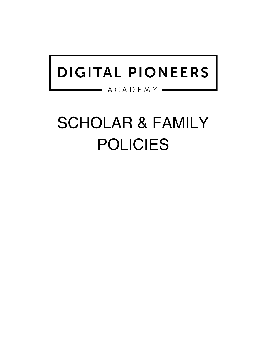## DIGITAL PIONEERS

 $-$  ACADEMY  $-$ 

# SCHOLAR & FAMILY POLICIES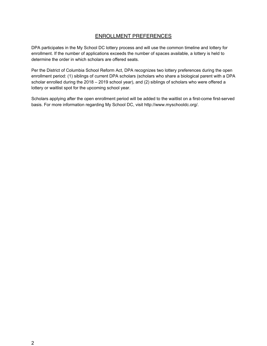### ENROLLMENT PREFERENCES

DPA participates in the My School DC lottery process and will use the common timeline and lottery for enrollment. If the number of applications exceeds the number of spaces available, a lottery is held to determine the order in which scholars are offered seats.

Per the District of Columbia School Reform Act, DPA recognizes two lottery preferences during the open enrollment period: (1) siblings of current DPA scholars (scholars who share a biological parent with a DPA scholar enrolled during the 2018 – 2019 school year), and (2) siblings of scholars who were offered a lottery or waitlist spot for the upcoming school year.

Scholars applying after the open enrollment period will be added to the waitlist on a first-come first-served basis. For more information regarding My School DC, visit http://www.myschooldc.org/.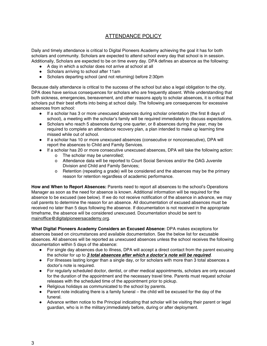## ATTENDANCE POLICY

Daily and timely attendance is critical to Digital Pioneers Academy achieving the goal it has for both scholars and community. Scholars are expected to attend school every day that school is in session. Additionally, Scholars are expected to be on time every day. DPA defines an absence as the following:

- A day in which a scholar does not arrive at school at all
- Scholars arriving to school after 11am
- Scholars departing school (and not returning) before 2:30pm

Because daily attendance is critical to the success of the school but also a legal obligation to the city, DPA does have serious consequences for scholars who are frequently absent. While understanding that both sickness, emergencies, bereavement, and other reasons apply to scholar absences, it is critical that scholars put their best efforts into being at school daily. The following are consequences for excessive absences from school:

- If a scholar has 3 or more unexcused absences during scholar orientation (the first 8 days of school), a meeting with the scholar's family will be required immediately to discuss expectations.
- Scholars who reach 5 absences during one quarter, or 8 absences during the year, may be required to complete an attendance recovery plan, a plan intended to make up learning time missed while out of school.
- If a scholar has 10 or more unexcused absences (consecutive or nonconsecutive), DPA will report the absences to Child and Family Services.
- If a scholar has 20 or more consecutive unexcused absences, DPA will take the following action:
	- o The scholar may be unenrolled;
	- o Attendance data will be reported to Court Social Services and/or the OAG Juvenile Division and Child and Family Services;
	- o Retention (repeating a grade) will be considered and the absences may be the primary reason for retention regardless of academic performance.

**How and When to Report Absences:** Parents need to report all absences to the school's Operations Manager as soon as the need for absence is known. Additional information will be required for the absence to be excused (see below). If we do not receive notification of the absence in advance, we may call parents to determine the reason for an absence. All documentation of excused absences must be received no later than 5 days following the absence. If documentation is not received in the appropriate timeframe, the absence will be considered unexcused. Documentation should be sent to [mainoffice@digitalpioneersacademy.org.](mailto:mainoffice@digitalpioneersacademy.org)

**What Digital Pioneers Academy Considers an Excused Absence:** DPA makes exceptions for absences based on circumstances and available documentation. See the below list for excusable absences. All absences will be reported as unexcused absences unless the school receives the following documentation within 5 days of the absence:

- For single day absences due to illness, DPA will accept a direct contact from the parent excusing the scholar for up to **3 total absences after which a doctor's note will be required**.
- For illnesses lasting longer than a single day, or for scholars with more than 3 total absences a doctor's note is required.
- For regularly scheduled doctor, dentist, or other medical appointments, scholars are only excused for the duration of the appointment and the necessary travel time. Parents must request scholar releases with the scheduled time of the appointment prior to pickup.
- Religious holidays as communicated to the school by parents.
- Parent note indicating there is a family funeral the child will be excused for the day of the funeral.
- Advance written notice to the Principal indicating that scholar will be visiting their parent or legal guardian, who is in the military;immediately before, during or after deployment.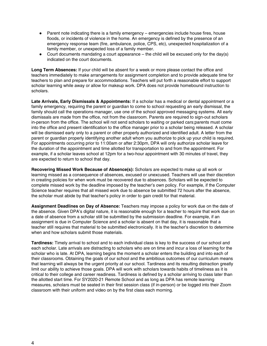- Parent note indicating there is a family emergency emergencies include house fires, house floods, or incidents of violence in the home. An emergency is defined by the presence of an emergency response team (fire, ambulance, police, CPS, etc), unexpected hospitalization of a family member, or unexpected loss of a family member.
- Court documents mandating a court appearance the child will be excused only for the day(s) indicated on the court documents.

**Long Term Absences:** If your child will be absent for a week or more please contact the office and teachers immediately to make arrangements for assignment completion and to provide adequate time for teachers to plan and prepare for accommodations. Teachers will put forth a reasonable effort to support scholar learning while away or allow for makeup work. DPA does not provide homebound instruction to scholars.

**Late Arrivals, Early Dismissals & Appointments:** If a scholar has a medical or dental appointment or a family emergency, requiring the parent or guardian to come to school requesting an early dismissal, the family should call the operations manager, use one of the school approved messaging systems. All early dismissals are made from the office, not from the classroom. Parents are required to sign-out scholars in-person from the office. The school will not send scholars to waiting or parked cars;parents must come into the office and present identification to the office manager prior to a scholar being released. A scholar will be dismissed early only to a parent or other properly authorized and identified adult. A letter from the parent or guardian properly identifying another adult whom you authorize to pick up your child is required. For appointments occurring prior to 11:00am or after 2:30pm, DPA will only authorize scholar leave for the duration of the appointment and time allotted for transportation to and from the appointment. For example, if a scholar leaves school at 12pm for a two-hour appointment with 30 minutes of travel, they are expected to return to school that day.

**Recovering Missed Work Because of Absence(s):** Scholars are expected to make up all work or learning missed as a consequence of absences, excused or unexcused. Teachers will use their discretion in creating policies for when work must be recovered due to absences. Scholars will be expected to complete missed work by the deadline imposed by the teacher's own policy. For example, if the Computer Science teacher requires that all missed work due to absence be submitted 72 hours after the absence, the scholar must abide by that teacher's policy in order to gain credit for that material.

**Assignment Deadlines on Day of Absence:** Teachers may impose a policy for work due on the date of the absence. Given DPA's digital nature, it is reasonable enough for a teacher to require that work due on a date of absence from a scholar still be submitted by the submission deadline. For example, if an assignment is due in Computer Science and a scholar is absent on that day, it is reasonable that a teacher still requires that material to be submitted electronically. It is the teacher's discretion to determine when and how scholars submit those materials.

**Tardiness:** Timely arrival to school and to each individual class is key to the success of our school and each scholar. Late arrivals are distracting to scholars who are on time and incur a loss of learning for the scholar who is late. At DPA, learning begins the moment a scholar enters the building and into each of their classrooms. Obtaining the goals of our school and the ambitious outcomes of our curriculum means that learning will always be the urgent priority at our school. Tardiness and its resulting distraction greatly limit our ability to achieve those goals. DPA will work with scholars towards habits of timeliness as it is critical to their college and career readiness. Tardiness is defined by a scholar arriving to class later than the allotted start time. For SY2020-21 Remote School and as long as DPA has remote learning measures, scholars must be seated in their first session class (if in-person) or be logged into their Zoom classroom with their uniform and video on by the first class each morning.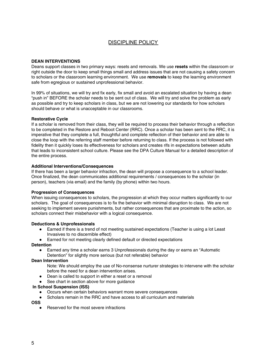## DISCIPLINE POLICY

#### **DEAN INTERVENTIONS**

Deans support classes in two primary ways: resets and removals. We use **resets** within the classroom or right outside the door to keep small things small and address issues that are not causing a safety concern to scholars or the classroom learning environment. We use **removals** to keep the learning environment safe from egregious or sustained unprofessional behavior.

In 99% of situations, we will try and fix early, fix small and avoid an escalated situation by having a dean "push in" BEFORE the scholar needs to be sent out of class. We will try and solve the problem as early as possible and try to keep scholars in class, but we are not lowering our standards for how scholars should behave or what is unacceptable in our classrooms.

#### **Restorative Cycle**

If a scholar is removed from their class, they will be required to process their behavior through a reflection to be completed in the Restore and Reboot Center (RRC). Once a scholar has been sent to the RRC, it is imperative that they complete a full, thoughtful and complete reflection of their behavior and are able to close the loop with the referring staff member before returning to class. If the process is not followed with fidelity then it quickly loses its effectiveness for scholars and creates rifs in expectations between adults that leads to inconsistent school culture. Please see the DPA Culture Manual for a detailed description of the entire process.

#### **Additional Interventions/Consequences**

If there has been a larger behavior infraction, the dean will propose a consequence to a school leader. Once finalized, the dean communicates additional requirements / consequences to the scholar (in person), teachers (via email) and the family (by phone) within two hours.

#### **Progression of Consequences**

When issuing consequences to scholars, the progression at which they occur matters significantly to our scholars. The goal of consequences is to fix the behavior with minimal disruption to class. We are not seeking to implement severe punishments, but rather consequences that are proximate to the action, so scholars connect their misbehavior with a logical consequence.

#### **Deductions & Unprofessionals**

- Earned if there is a trend of not meeting sustained expectations (Teacher is using a lot Least Invasives to no discernible effect)
- Earned for not meeting clearly defined default or directed expectations

#### **Detention**

● Earned any time a scholar earns 3 Unprofessionals during the day or earns an "Automatic Detention" for slightly more serious (but not referable) behavior

#### **Dean Intervention**

- Note: We should employ the use of No-nonsense nurturer strategies to intervene with the scholar before the need for a dean intervention arises.
- Dean is called to support in either a reset or a removal
- See chart in section above for more guidance

#### **In School Suspension (ISS)**

- Occurs when certain behaviors warrant more severe consequences
- Scholars remain in the RRC and have access to all curriculum and materials

#### **OSS**

● Reserved for the most severe infractions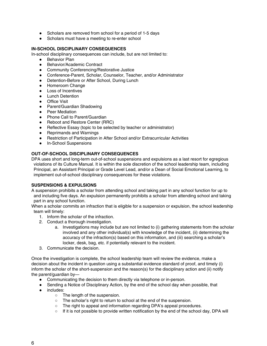- Scholars are removed from school for a period of 1-5 days
- Scholars must have a meeting to re-enter school

#### **IN-SCHOOL DISCIPLINARY CONSEQUENCES**

In-school disciplinary consequences can include, but are not limited to:

- Behavior Plan
- Behavior/Academic Contract
- Community Conferencing/Restorative Justice
- Conference-Parent, Scholar, Counselor, Teacher, and/or Administrator
- Detention-Before or After School, During Lunch
- Homeroom Change
- Loss of Incentives
- Lunch Detention
- Office Visit
- Parent/Guardian Shadowing
- Peer Mediation
- Phone Call to Parent/Guardian
- Reboot and Restore Center (RRC)
- Reflective Essay (topic to be selected by teacher or administrator)
- Reprimands and Warnings
- Restriction of Participation in After School and/or Extracurricular Activities
- In-School Suspensions

#### **OUT-OF-SCHOOL DISCIPLINARY CONSEQUENCES**

DPA uses short and long-term out-of-school suspensions and expulsions as a last resort for egregious violations of its Culture Manual. It is within the sole discretion of the school leadership team, including Principal, an Assistant Principal or Grade Level Lead, and/or a Dean of Social Emotional Learning, to implement out-of-school disciplinary consequences for these violations.

#### **SUSPENSIONS & EXPULSIONS**

A suspension prohibits a scholar from attending school and taking part in any school function for up to and including five days. An expulsion permanently prohibits a scholar from attending school and taking part in any school function.

When a scholar commits an infraction that is eligible for a suspension or expulsion, the school leadership team will timely:

- 1. Inform the scholar of the infraction.
- 2. Conduct a thorough investigation.
	- a. Investigations may include but are not limited to (i) gathering statements from the scholar involved and any other individual(s) with knowledge of the incident, (ii) determining the accuracy of the infraction(s) based on this information, and (iii) searching a scholar's locker, desk, bag, etc. if potentially relevant to the incident.
- 3. Communicate the decision.

Once the investigation is complete, the school leadership team will review the evidence, make a decision about the incident in question using a substantial evidence standard of proof, and timely (i) inform the scholar of the short-suspension and the reason(s) for the disciplinary action and (ii) notify the parent/guardian by—

- Communicating the decision to them directly via telephone or in-person.
- Sending a Notice of Disciplinary Action, by the end of the school day when possible, that
- includes:
	- The length of the suspension.
	- The scholar's right to return to school at the end of the suspension.
	- The right to appeal and information regarding DPA's appeal procedures.
	- If it is not possible to provide written notification by the end of the school day, DPA will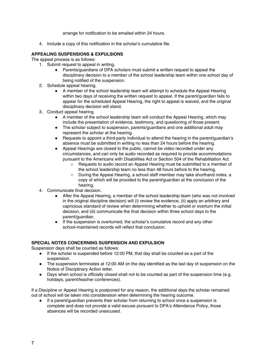arrange for notification to be emailed within 24 hours.

4. Include a copy of this notification in the scholar's cumulative file.

#### **APPEALING SUSPENSIONS & EXPULSIONS**

The appeal process is as follows:

- 1. Submit request to appeal in writing.
	- Parents/guardians of DPA scholars must submit a written request to appeal the disciplinary decision to a member of the school leadership team within one school day of being notified of the suspension.
- 2. Schedule appeal hearing.
	- A member of the school leadership team will attempt to schedule the Appeal Hearing within two days of receiving the written request to appeal. If the parent/guardian fails to appear for the scheduled Appeal Hearing, the right to appeal is waived, and the original disciplinary decision will stand.
- 3. Conduct appeal hearing.
	- A member of the school leadership team will conduct the Appeal Hearing, which may include the presentation of evidence, testimony, and questioning of those present.
	- The scholar subject to suspension, parents/guardians and one additional adult may represent the scholar at the hearing.
	- Requests to appoint a third-party individual to attend the hearing in the parent/guardian's absence must be submitted in writing no less than 24 hours before the hearing.
	- Appeal Hearings are closed to the public, cannot be video recorded under any circumstances, and can only be audio recorded as required to provide accommodations pursuant to the Americans with Disabilities Act or Section 504 of the Rehabilitation Act.
		- Requests to audio record an Appeal Hearing must be submitted to a member of the school leadership team no less than 48 hours before to the hearing.
		- During the Appeal Hearing, a school staff member may take shorthand notes, a copy of which will be provided to the parent/guardian at the conclusion of the hearing.
- 4. Communicate final decision.
	- After the Appeal Hearing, a member of the school leadership team (who was not involved in the original discipline decision) will (i) review the evidence, (ii) apply an arbitrary and capricious standard of review when determining whether to uphold or overturn the initial decision, and (iii) communicate the final decision within three school days to the parent/guardian.
	- If the suspension is overturned, the scholar's cumulative record and any other school-maintained records will reflect that conclusion.

#### **SPECIAL NOTES CONCERNING SUSPENSION AND EXPULSION**

Suspension days shall be counted as follows:

- If the scholar is suspended before 12:00 PM, that day shall be counted as a part of the suspension.
- The suspension terminates at 12:00 AM on the day identified as the last day of suspension on the Notice of Disciplinary Action letter.
- Days when school is officially closed shall not to be counted as part of the suspension time (e.g. holidays, parent/teacher conferences).

If a Discipline or Appeal Hearing is postponed for any reason, the additional days the scholar remained out of school will be taken into consideration when determining the hearing outcome.

● If a parent/guardian prevents their scholar from returning to school once a suspension is complete and does not provide a valid excuse pursuant to DPA's Attendance Policy, those absences will be recorded unexcused.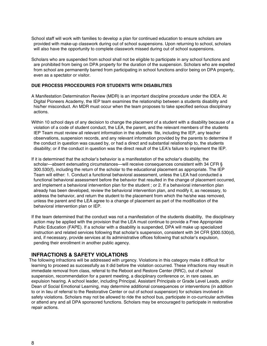- School staff will work with families to develop a plan for continued education to ensure scholars are provided with make-up classwork during out of school suspensions. Upon returning to school, scholars will also have the opportunity to complete classwork missed during out of school suspensions.
- Scholars who are suspended from school shall not be eligible to participate in any school functions and are prohibited from being on DPA property for the duration of the suspension. Scholars who are expelled from school are permanently barred from participating in school functions and/or being on DPA property, even as a spectator or visitor.

#### **DUE PROCESS PROCEDURES FOR STUDENTS WITH DISABILITIES**

- A Manifestation Determination Review (MDR) is an important discipline procedure under the IDEA. At Digital Pioneers Academy, the IEP team examines the relationship between a students disability and his/her misconduct. An MDR must occur when the team proposes to take specified serious disciplinary actions.
- Within 10 school days of any decision to change the placement of a student with a disability because of a violation of a code of student conduct, the LEA, the parent, and the relevant members of the students IEP Team must review all relevant information in the students file, including the IEP, any teacher observations, suspension records, and any relevant information provided by the parents to determine If the conduct in question was caused by, or had a direct and substantial relationship to, the students disability; or if the conduct in question was the direct result of the LEA's failure to implement the IEP.
- If it is determined that the scholar's behavior is a manifestation of the scholar's disability, the scholar—absent extenuating circumstances—will receive consequences consistent with 34 CFR § 300.530(f), including the return of the scholar to the educational placement as appropriate. The IEP Team will either: 1. Conduct a functional behavioral assessment, unless the LEA had conducted a functional behavioral assessment before the behavior that resulted in the change of placement occurred, and implement a behavioral intervention plan for the student ; or 2. If a behavioral intervention plan already has been developed, review the behavioral intervention plan, and modify it, as necessary, to address the behavior, and return the student to the placement from which the he/she was removed, unless the parent and the LEA agree to a change of placement as part of the modification of the behavioral intervention plan or IEP.
- If the team determined that the conduct was not a manifestation of the students disability, the disciplinary action may be applied with the provision that the LEA must continue to provide a Free Appropriate Public Education (FAPE). If a scholar with a disability is suspended, DPA will make up specialized instruction and related services following that scholar's suspension, consistent with 34 CFR §300.530(d), and, if necessary, provide services at its administrative offices following that scholar's expulsion, pending their enrollment in another public agency.

#### **INFRACTIONS & SAFETY VIOLATIONS**

The following infractions will be addressed with urgency. Violations in this category make it difficult for learning to proceed as successfully as it did before the violation occurred. These infractions may result in immediate removal from class, referral to the Reboot and Restore Center (RRC), out of school suspension, recommendation for a parent meeting, a disciplinary conference or, in rare cases, an expulsion hearing. A school leader, including Principal, Assistant Principals or Grade Level Leads, and/or Dean of Social Emotional Learning, may determine additional consequences or interventions (in addition to or in lieu of referral to the Restorative Center or out of school suspension) for scholars involved in safety violations. Scholars may not be allowed to ride the school bus, participate in co-curricular activities or attend any and all DPA sponsored functions. Scholars may be encouraged to participate in restorative repair actions.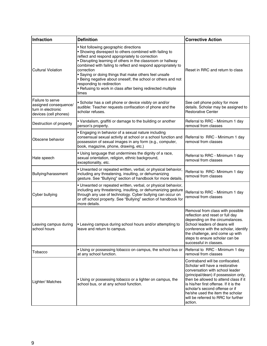| Infraction                                                                               | <b>Definition</b>                                                                                                                                                                                                                                                                                                                                                                                                                                                                                                               | <b>Corrective Action</b>                                                                                                                                                                                                                                                                                                                                 |
|------------------------------------------------------------------------------------------|---------------------------------------------------------------------------------------------------------------------------------------------------------------------------------------------------------------------------------------------------------------------------------------------------------------------------------------------------------------------------------------------------------------------------------------------------------------------------------------------------------------------------------|----------------------------------------------------------------------------------------------------------------------------------------------------------------------------------------------------------------------------------------------------------------------------------------------------------------------------------------------------------|
| <b>Cultural Violation</b>                                                                | • Not following geographic directions<br>• Showing disrespect to others combined with failing to<br>reflect and respond appropriately to correction<br>. Disrupting learning of others in the classroom or hallway<br>combined with failing to reflect and respond appropriately to<br>correction<br>· Saying or doing things that make others feel unsafe<br>. Being negative about oneself, the school or others and not<br>responding to redirection<br>• Refusing to work in class after being redirected multiple<br>times | Reset in RRC and return to class                                                                                                                                                                                                                                                                                                                         |
| Failure to serve<br>assigned consequence/<br>turn in electronic<br>devices (cell phones) | • Scholar has a cell phone or device visibly on and/or<br>audible: Teacher requests confiscation of phone and the<br>scholar refuses.                                                                                                                                                                                                                                                                                                                                                                                           | See cell phone policy for more<br>details. Scholar may be assigned to<br><b>Restorative Center</b>                                                                                                                                                                                                                                                       |
| Destruction of property                                                                  | • Vandalism, graffiti or damage to the building or another<br>person's property.                                                                                                                                                                                                                                                                                                                                                                                                                                                | Referral to RRC - Minimum 1 day<br>removal from classes                                                                                                                                                                                                                                                                                                  |
| Obscene behavior                                                                         | • Engaging in behavior of a sexual nature including<br>consensual sexual activity at school or a school function and<br>possession of sexual images in any form (e.g., computer,<br>book, magazine, phone, drawing, etc.)                                                                                                                                                                                                                                                                                                       | Referral to RRC - Minimum 1 day<br>removal from classes                                                                                                                                                                                                                                                                                                  |
| Hate speech                                                                              | . Using language that undermines the dignity of a race,<br>sexual orientation, religion, ethnic background,<br>exceptionality, etc.                                                                                                                                                                                                                                                                                                                                                                                             | Referral to RRC - Minimum 1 day<br>removal from classes                                                                                                                                                                                                                                                                                                  |
| Bullying/harassment                                                                      | . Unwanted or repeated written, verbal, or physical behavior,<br>including any threatening, insulting, or dehumanizing<br>gesture. See "Bullying" section of handbook for more details.                                                                                                                                                                                                                                                                                                                                         | Referral to RRC-Minimum 1 day<br>removal from classes                                                                                                                                                                                                                                                                                                    |
| Cyber bullying                                                                           | . Unwanted or repeated written, verbal, or physical behavior,<br>including any threatening, insulting, or dehumanizing gesture<br>through any use of technology. Cyber bullying can occur on<br>or off school property. See "Bullying" section of handbook for<br>more details.                                                                                                                                                                                                                                                 | Referral to RRC - Minimum 1 day<br>removal from classes                                                                                                                                                                                                                                                                                                  |
| Leaving campus during<br>school hours                                                    | • Leaving campus during school hours and/or attempting to<br>leave and return to campus.                                                                                                                                                                                                                                                                                                                                                                                                                                        | Removal from class with possible<br>reflection and reset or full day<br>depending on the circumstances.<br>School leaders of deans will<br>conference with the scholar, identify<br>the challenge, and come up with<br>steps to ensure scholar can be<br>successful in classes.                                                                          |
| Tobacco                                                                                  | . Using or possessing tobacco on campus, the school bus or<br>at any school function.                                                                                                                                                                                                                                                                                                                                                                                                                                           | Referral to RRC - Minimum 1 day<br>removal from classes                                                                                                                                                                                                                                                                                                  |
| Lighter/ Matches                                                                         | • Using or possessing tobacco or a lighter on campus, the<br>school bus, or at any school function.                                                                                                                                                                                                                                                                                                                                                                                                                             | Contraband will be confiscated.<br>Scholar will have a restorative<br>conversation with school leader<br>(principal/dean) if possession only,<br>then be allowed to attend class if it<br>is his/her first offense. If it is the<br>scholar's second offense or if<br>he/she used the item the scholar<br>will be referred to RRC for further<br>action. |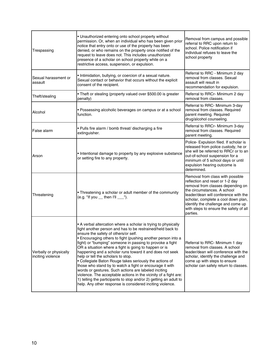| Trespassing                                 | • Unauthorized entering onto school property without<br>permission. Or, when an individual who has been given prior<br>notice that entry onto or use of the property has been<br>denied, or who remains on the property once notified of the<br>request to leave does not. This includes unauthorized<br>presence of a scholar on school property while on a<br>restrictive access, suspension, or expulsion.                                                                                                                                                                                                                                                                                                                                                                                                                                     | Removal from campus and possible<br>referral to RRC upon return to<br>school. Police notification if<br>individual refuses to leave the<br>school property                                                                                                                                                         |
|---------------------------------------------|---------------------------------------------------------------------------------------------------------------------------------------------------------------------------------------------------------------------------------------------------------------------------------------------------------------------------------------------------------------------------------------------------------------------------------------------------------------------------------------------------------------------------------------------------------------------------------------------------------------------------------------------------------------------------------------------------------------------------------------------------------------------------------------------------------------------------------------------------|--------------------------------------------------------------------------------------------------------------------------------------------------------------------------------------------------------------------------------------------------------------------------------------------------------------------|
| Sexual harassment or<br>assault             | • Intimidation, bullying, or coercion of a sexual nature.<br>Sexual contact or behavior that occurs without the explicit<br>consent of the recipient.                                                                                                                                                                                                                                                                                                                                                                                                                                                                                                                                                                                                                                                                                             | Referral to RRC - Minimum 2 day<br>removal from classes. Sexual<br>assault will result in<br>recommendation for expulsion.                                                                                                                                                                                         |
| Theft/stealing                              | . Theft or stealing (property valued over \$500.00 is greater<br>penalty)                                                                                                                                                                                                                                                                                                                                                                                                                                                                                                                                                                                                                                                                                                                                                                         | Referral to RRCr- Minimum 2 day<br>removal from classes.                                                                                                                                                                                                                                                           |
| Alcohol                                     | • Possessing alcoholic beverages on campus or at a school<br>function.                                                                                                                                                                                                                                                                                                                                                                                                                                                                                                                                                                                                                                                                                                                                                                            | Referral to RRC- Minimum 3-day<br>removal from classes. Required<br>parent meeting. Required<br>drug/alcohol counseling.                                                                                                                                                                                           |
| False alarm                                 | . Pulls fire alarm / bomb threat/ discharging a fire<br>extinguisher.                                                                                                                                                                                                                                                                                                                                                                                                                                                                                                                                                                                                                                                                                                                                                                             | Referral to RRCr- Minimum 3-day<br>removal from classes. Required<br>parent meeting.                                                                                                                                                                                                                               |
| Arson                                       | • Intentional damage to property by any explosive substance<br>or setting fire to any property.                                                                                                                                                                                                                                                                                                                                                                                                                                                                                                                                                                                                                                                                                                                                                   | Police- Expulsion filed. If scholar is<br>released from police custody, he or<br>she will be referred to RRCr or to an<br>out-of-school suspension for a<br>minimum of 5 school days or until<br>expulsion hearing outcome is<br>determined.                                                                       |
| Threatening                                 | • Threatening a scholar or adult member of the community<br>(e.g. "If you __ then I'll ___").                                                                                                                                                                                                                                                                                                                                                                                                                                                                                                                                                                                                                                                                                                                                                     | Removal from class with possible<br>reflection and reset or 1-2 day<br>removal from classes depending on<br>the circumstances. A school<br>leader/dean will conference with the<br>scholar, complete a cool down plan,<br>identify the challenge and come up<br>with steps to ensure the safety of all<br>parties. |
| Verbally or physically<br>inciting violence | • A verbal altercation where a scholar is trying to physically<br>fight another person and has to be restrained/held back to<br>ensure the safety of others/or self.<br>• Encouraging others to fight (pushing another person into a<br>fight) or "bumping" someone in passing to provoke a fight<br>OR a situation where a fight is going to happen or is<br>happening and a scholar runs toward it and does not seek<br>help or tell the scholars to stop.<br>• Collegiate Baton Rouge takes seriously the actions of<br>those who stand by to watch a fight or encourage it with<br>words or gestures. Such actions are labeled inciting<br>violence. The acceptable actions in the vicinity of a fight are:<br>1) telling the participants to stop and/or 2) getting an adult to<br>help. Any other response is considered inciting violence. | Referral to RRC- Minimum 1 day<br>removal from classes. A school<br>leader/dean will conference with the<br>scholar, identify the challenge and<br>come up with steps to ensure<br>scholar can safely return to classes.                                                                                           |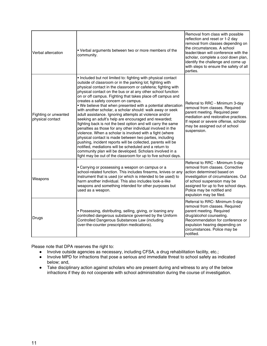| Verbal altercation                       | • Verbal arguments between two or more members of the<br>community.                                                                                                                                                                                                                                                                                                                                                                                                                                                                                                                                                                                                                                                                                                                                                                                                                                                                                                                                                                                                                                                          | Removal from class with possible<br>reflection and reset or 1-2 day<br>removal from classes depending on<br>the circumstances. A school<br>leader/dean will conference with the<br>scholar, complete a cool down plan,<br>identify the challenge and come up<br>with steps to ensure the safety of all<br>parties. |
|------------------------------------------|------------------------------------------------------------------------------------------------------------------------------------------------------------------------------------------------------------------------------------------------------------------------------------------------------------------------------------------------------------------------------------------------------------------------------------------------------------------------------------------------------------------------------------------------------------------------------------------------------------------------------------------------------------------------------------------------------------------------------------------------------------------------------------------------------------------------------------------------------------------------------------------------------------------------------------------------------------------------------------------------------------------------------------------------------------------------------------------------------------------------------|--------------------------------------------------------------------------------------------------------------------------------------------------------------------------------------------------------------------------------------------------------------------------------------------------------------------|
| Fighting or unwanted<br>physical contact | • Included but not limited to: fighting with physical contact<br>outside of classroom or in the parking lot; fighting with<br>physical contact in the classroom or cafeteria; fighting with<br>physical contact on the bus or at any other school function<br>on or off campus. Fighting that takes place off campus and<br>creates a safety concern on campus.<br>. We believe that when presented with a potential altercation<br>with another scholar, a scholar should: walk away or seek<br>adult assistance. Ignoring attempts at violence and/or<br>seeking an adult's help are encouraged and rewarded;<br>fighting back is not the best option and will carry the same<br>penalties as those for any other individual involved in the<br>violence. When a scholar is involved with a fight (where<br>physical contact is made between two parties, including<br>pushing, incident reports will be collected, parents will be<br>notified, mediations will be scheduled and a return to<br>community plan will be developed. Scholars involved in a<br>fight may be out of the classroom for up to five school days. | Referral to RRC - Minimum 3-day<br>removal from classes. Required<br>parent meeting. Required peer<br>mediation and restorative practices.<br>If repeat or severe offense, scholar<br>may be assigned out of school<br>suspension.                                                                                 |
| Weapons                                  | • Carrying or possessing a weapon on campus or a<br>school-related function. This includes firearms, knives or any<br>instrument that is used (or which is intended to be used) to<br>harm another individual. This also includes look-a-like<br>weapons and something intended for other purposes but<br>used as a weapon.                                                                                                                                                                                                                                                                                                                                                                                                                                                                                                                                                                                                                                                                                                                                                                                                  | Referral to RRC - Minimum 5-day<br>removal from classes. Corrective<br>action determined based on<br>investigation of circumstances. Out<br>of school suspension may be<br>assigned for up to five school days.<br>Police may be notified and<br>expulsion may be filed.                                           |
| Drugs                                    | · Possessing, distributing, selling, giving, or loaning any<br>controlled dangerous substance governed by the Uniform<br>Controlled Dangerous Substances Law (including<br>over-the-counter prescription medications).                                                                                                                                                                                                                                                                                                                                                                                                                                                                                                                                                                                                                                                                                                                                                                                                                                                                                                       | Referral to RRC- Minimum 5-day<br>removal from classes. Required<br>parent meeting. Required<br>drug/alcohol counseling.<br>Recommendation for conference or<br>expulsion hearing depending on<br>circumstances. Police may be<br>notified.                                                                        |

Please note that DPA reserves the right to:

- Involve outside agencies as necessary, including CFSA, a drug rehabilitation facility, etc.;
- Involve MPD for infractions that pose a serious and immediate threat to school safety as indicated below; and,
- Take disciplinary action against scholars who are present during and witness to any of the below infractions if they do not cooperate with school administration during the course of investigation.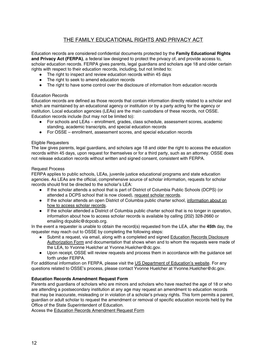## THE FAMILY EDUCATIONAL RIGHTS AND PRIVACY ACT

Education records are considered confidential documents protected by the **Family Educational Rights and Privacy Act (FERPA)**, a federal law designed to protect the privacy of, and provide access to, scholar education records. FERPA gives parents, legal guardians and scholars age 18 and older certain rights with respect to their education records, including, but not limited to:

- The right to inspect and review education records within 45 days
- The right to seek to amend education records
- The right to have some control over the disclosure of information from education records

#### Education Records

Education records are defined as those records that contain information directly related to a scholar and which are maintained by an educational agency or institution or by a party acting for the agency or institution. Local education agencies (LEAs) are the main custodians of these records, not OSSE. Education records include (but may not be limited to):

- For schools and LEAs enrollment, grades, class schedule, assessment scores, academic standing, academic transcripts, and special education records
- For OSSE enrollment, assessment scores, and special education records

#### Eligible Requesters

The law gives parents, legal guardians, and scholars age 18 and older the right to access the education records within 45 days, upon request for themselves or for a third party, such as an attorney. OSSE does not release education records without written and signed consent, consistent with FERPA.

#### Request Process

FERPA applies to public schools, LEAs, juvenile justice educational programs and state education agencies. As LEAs are the official, comprehensive source of scholar information, requests for scholar records should first be directed to the scholar's LEA:

- If the scholar attends a school that is part of District of Columbia Public Schools (DCPS) (or attended a DCPS school that is now closed), [request](https://dcps.dc.gov/service/request-transcripts-and-diplomas) scholar records.
- If the scholar attends an open District of Columbia public charter school, [information](http://www.dcpcsb.org/where-can-i-find-my-student-records) about on how to access scholar [records](http://www.dcpcsb.org/where-can-i-find-my-student-records).
- If the scholar attended a District of Columbia public charter school that is no longer in operation, information about how to access scholar records is available by calling (202) 328-2660 or emailing dcpublic@dcpcsb.org.

In the event a requester is unable to obtain the record(s) requested from the LEA, after the **45th** day, the requester may reach out to OSSE by completing the following steps:

- Submit a request, via email, along with a completed and signed Education Records [Disclosure](https://osse.dc.gov/sites/default/files/dc/sites/osse/publication/attachments/Education%20Records%20Disclosure%20Authorization%20Form.pdf) [Authorization](https://osse.dc.gov/sites/default/files/dc/sites/osse/publication/attachments/Education%20Records%20Disclosure%20Authorization%20Form.pdf) Form and documentation that shows when and to whom the requests were made of the LEA, to Yvonne Huelcher at Yvonne.Huelcher@dc.gov.
- Upon receipt, OSSE will review requests and process them in accordance with the guidance set forth under FERPA.

For additional information on FERPA, please visit the US [Department](https://www2.ed.gov/policy/gen/guid/fpco/ferpa/index.html) of Education's website. For any questions related to OSSE's process, please contact Yvonne Huelcher at Yvonne.Huelcher@dc.gov.

#### **Education Records Amendment Request Form**

Parents and guardians of scholars who are minors and scholars who have reached the age of 18 or who are attending a postsecondary institution at any age may request an amendment to education records that may be inaccurate, misleading or in violation of a scholar's privacy rights. This form permits a parent, guardian or adult scholar to request the amendment or removal of specific education records held by the Office of the State Superintendent of Education.

Access the Education Records [Amendment](https://osse.dc.gov/sites/default/files/dc/sites/osse/publication/attachments/2019_Education%20Records%20Amendment%20Authorization%20Form.pdf) Request Form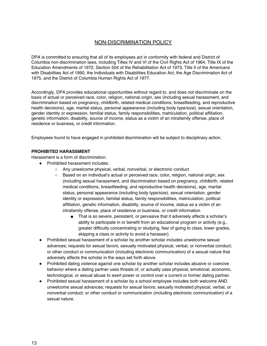## NON-DISCRIMINATION POLICY

DPA is committed to ensuring that all of its employees act in conformity with federal and District of Columbia non-discrimination laws, including Titles IV and VI of the Civil Rights Act of 1964, Title IX of the Education Amendments of 1972, Section 504 of the Rehabilitation Act of 1973, Title II of the Americans with Disabilities Act of 1990, the Individuals with Disabilities Education Act, the Age Discrimination Act of 1975, and the District of Columbia Human Rights Act of 1977.

Accordingly, DPA provides educational opportunities without regard to, and does not discriminate on the basis of actual or perceived race, color, religion, national origin, sex (including sexual harassment, and discrimination based on pregnancy, childbirth, related medical conditions, breastfeeding, and reproductive health decisions), age, marital status, personal appearance (including body type/size), sexual orientation, gender identity or expression, familial status, family responsibilities, matriculation, political affiliation, genetic information, disability, source of income, status as a victim of an intrafamily offense, place of residence or business, or credit information.

Employees found to have engaged in prohibited discrimination will be subject to disciplinary action.

#### **PROHIBITED HARASSMENT**

Harassment is a form of discrimination.

- Prohibited harassment includes:
	- Any unwelcome physical, verbal, nonverbal, or electronic conduct
	- Based on an individual's actual or perceived race, color, religion, national origin, sex (including sexual harassment, and discrimination based on pregnancy, childbirth, related medical conditions, breastfeeding, and reproductive health decisions), age, marital status, personal appearance (including body type/size), sexual orientation, gender identity or expression, familial status, family responsibilities, matriculation, political affiliation, genetic information, disability, source of income, status as a victim of an intrafamily offense, place of residence or business, or credit information
		- That is so severe, persistent, or pervasive that it adversely affects a scholar's ability to participate in or benefit from an educational program or activity (e.g., greater difficulty concentrating or studying, fear of going to class, lower grades, skipping a class or activity to avoid a harasser).
- Prohibited sexual harassment of a scholar by another scholar includes unwelcome sexual advances; requests for sexual favors; sexually motivated physical, verbal, or nonverbal conduct; or other conduct or communication (including electronic communication) of a sexual nature that adversely affects the scholar in the ways set forth above.
- Prohibited dating violence against one scholar by another scholar includes abusive or coercive behavior where a dating partner uses threats of, or actually uses physical, emotional, economic, technological, or sexual abuse to exert power or control over a current or former dating partner.
- Prohibited sexual harassment of a scholar by a school employee includes both welcome AND unwelcome sexual advances; requests for sexual favors; sexually motivated physical, verbal, or nonverbal conduct; or other conduct or communication (including electronic communication) of a sexual nature.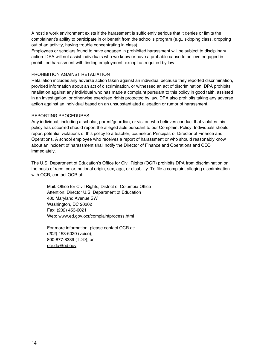A hostile work environment exists if the harassment is sufficiently serious that it denies or limits the complainant's ability to participate in or benefit from the school's program (e.g., skipping class, dropping out of an activity, having trouble concentrating in class).

Employees or scholars found to have engaged in prohibited harassment will be subject to disciplinary action. DPA will not assist individuals who we know or have a probable cause to believe engaged in prohibited harassment with finding employment, except as required by law.

#### PROHIBITION AGAINST RETALIATION

Retaliation includes any adverse action taken against an individual because they reported discrimination, provided information about an act of discrimination, or witnessed an act of discrimination. DPA prohibits retaliation against any individual who has made a complaint pursuant to this policy in good faith, assisted in an investigation, or otherwise exercised rights protected by law. DPA also prohibits taking any adverse action against an individual based on an unsubstantiated allegation or rumor of harassment.

#### REPORTING PROCEDURES

Any individual, including a scholar, parent/guardian, or visitor, who believes conduct that violates this policy has occurred should report the alleged acts pursuant to our Complaint Policy. Individuals should report potential violations of this policy to a teacher, counselor, Principal, or Director of Finance and Operations. A school employee who receives a report of harassment or who should reasonably know about an incident of harassment shall notify the Director of Finance and Operations and CEO immediately.

The U.S. Department of Education's Office for Civil Rights (OCR) prohibits DPA from discrimination on the basis of race, color, national origin, sex, age, or disability. To file a complaint alleging discrimination with OCR, contact OCR at:

Mail: Office for Civil Rights, District of Columbia Office Attention: Director U.S. Department of Education 400 Maryland Avenue SW Washington, DC 20202 Fax: (202) 453-6021 Web: www.ed.gov.ocr/complaintprocess.html

For more information, please contact OCR at: (202) 453-6020 (voice); 800-877-8339 (TDD); or [ocr.dc@ed.gov](mailto:ocr.dc@ed.gov)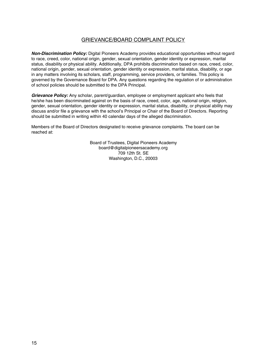## GRIEVANCE/BOARD COMPLAINT POLICY

**Non-Discrimination Policy:** Digital Pioneers Academy provides educational opportunities without regard to race, creed, color, national origin, gender, sexual orientation, gender identity or expression, marital status, disability or physical ability. Additionally, DPA prohibits discrimination based on race, creed, color, national origin, gender, sexual orientation, gender identity or expression, marital status, disability, or age in any matters involving its scholars, staff, programming, service providers, or families. This policy is governed by the Governance Board for DPA. Any questions regarding the regulation of or administration of school policies should be submitted to the DPA Principal.

**Grievance Policy:** Any scholar, parent/guardian, employee or employment applicant who feels that he/she has been discriminated against on the basis of race, creed, color, age, national origin, religion, gender, sexual orientation, gender identity or expression, marital status, disability, or physical ability may discuss and/or file a grievance with the school's Principal or Chair of the Board of Directors. Reporting should be submitted in writing within 40 calendar days of the alleged discrimination.

Members of the Board of Directors designated to receive grievance complaints. The board can be reached at:

> Board of Trustees, Digital Pioneers Academy board@digitalpioneersacademy.org 709 12th St. SE Washington, D.C., 20003